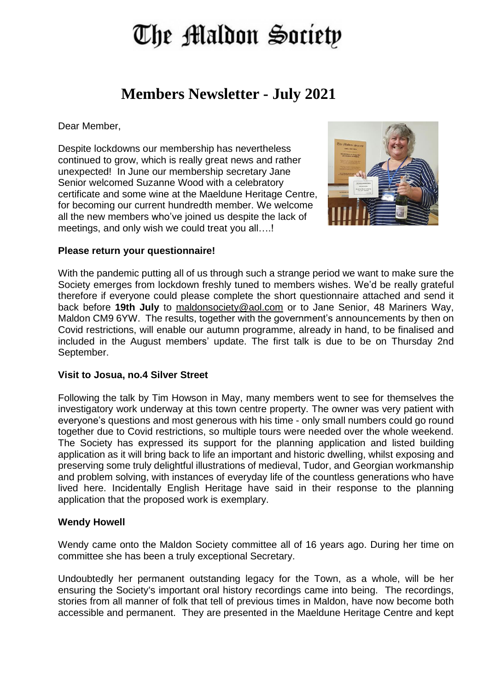# The Maldon Society

# **Members Newsletter - July 2021**

Dear Member,

Despite lockdowns our membership has nevertheless continued to grow, which is really great news and rather unexpected! In June our membership secretary Jane Senior welcomed Suzanne Wood with a celebratory certificate and some wine at the Maeldune Heritage Centre, for becoming our current hundredth member. We welcome all the new members who've joined us despite the lack of meetings, and only wish we could treat you all....!



#### **Please return your questionnaire!**

With the pandemic putting all of us through such a strange period we want to make sure the Society emerges from lockdown freshly tuned to members wishes. We'd be really grateful therefore if everyone could please complete the short questionnaire attached and send it back before **19th July** to [maldonsociety@aol.com](mailto:maldonsociety@aol.com) or to Jane Senior, 48 Mariners Way, Maldon CM9 6YW. The results, together with the government's announcements by then on Covid restrictions, will enable our autumn programme, already in hand, to be finalised and included in the August members' update. The first talk is due to be on Thursday 2nd September.

#### **Visit to Josua, no.4 Silver Street**

Following the talk by Tim Howson in May, many members went to see for themselves the investigatory work underway at this town centre property. The owner was very patient with everyone's questions and most generous with his time - only small numbers could go round together due to Covid restrictions, so multiple tours were needed over the whole weekend. The Society has expressed its support for the planning application and listed building application as it will bring back to life an important and historic dwelling, whilst exposing and preserving some truly delightful illustrations of medieval, Tudor, and Georgian workmanship and problem solving, with instances of everyday life of the countless generations who have lived here. Incidentally English Heritage have said in their response to the planning application that the proposed work is exemplary.

### **Wendy Howell**

Wendy came onto the Maldon Society committee all of 16 years ago. During her time on committee she has been a truly exceptional Secretary.

Undoubtedly her permanent outstanding legacy for the Town, as a whole, will be her ensuring the Society's important oral history recordings came into being. The recordings, stories from all manner of folk that tell of previous times in Maldon, have now become both accessible and permanent. They are presented in the Maeldune Heritage Centre and kept